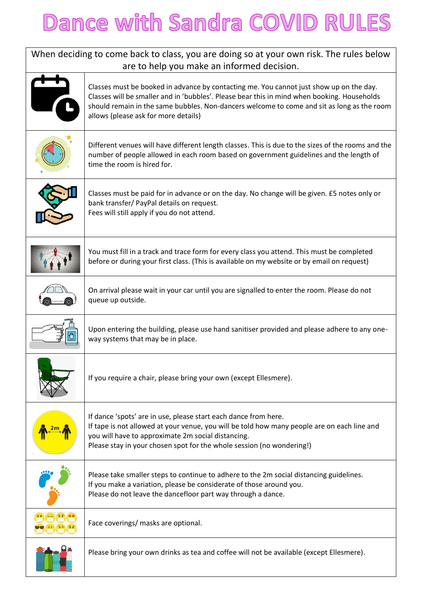## Dance with Sandra COVID RULES

| When deciding to come back to class, you are doing so at your own risk. The rules below<br>are to help you make an informed decision. |                                                                                                                                                                                                                                                                                                                              |  |
|---------------------------------------------------------------------------------------------------------------------------------------|------------------------------------------------------------------------------------------------------------------------------------------------------------------------------------------------------------------------------------------------------------------------------------------------------------------------------|--|
|                                                                                                                                       | Classes must be booked in advance by contacting me. You cannot just show up on the day.<br>Classes will be smaller and in 'bubbles'. Please bear this in mind when booking. Households<br>should remain in the same bubbles. Non-dancers welcome to come and sit as long as the room<br>allows (please ask for more details) |  |
|                                                                                                                                       | Different venues will have different length classes. This is due to the sizes of the rooms and the<br>number of people allowed in each room based on government guidelines and the length of<br>time the room is hired for.                                                                                                  |  |
|                                                                                                                                       | Classes must be paid for in advance or on the day. No change will be given. £5 notes only or<br>bank transfer/ PayPal details on request.<br>Fees will still apply if you do not attend.                                                                                                                                     |  |
|                                                                                                                                       | You must fill in a track and trace form for every class you attend. This must be completed<br>before or during your first class. (This is available on my website or by email on request)                                                                                                                                    |  |
|                                                                                                                                       | On arrival please wait in your car until you are signalled to enter the room. Please do not<br>queue up outside.                                                                                                                                                                                                             |  |
|                                                                                                                                       | Upon entering the building, please use hand sanitiser provided and please adhere to any one-<br>way systems that may be in place.                                                                                                                                                                                            |  |
|                                                                                                                                       | If you require a chair, please bring your own (except Ellesmere).                                                                                                                                                                                                                                                            |  |
|                                                                                                                                       | If dance 'spots' are in use, please start each dance from here.<br>If tape is not allowed at your venue, you will be told how many people are on each line and<br>you will have to approximate 2m social distancing.<br>Please stay in your chosen spot for the whole session (no wondering!)                                |  |
|                                                                                                                                       | Please take smaller steps to continue to adhere to the 2m social distancing guidelines.<br>If you make a variation, please be considerate of those around you.<br>Please do not leave the dancefloor part way through a dance.                                                                                               |  |
|                                                                                                                                       | Face coverings/ masks are optional.                                                                                                                                                                                                                                                                                          |  |
|                                                                                                                                       | Please bring your own drinks as tea and coffee will not be available (except Ellesmere).                                                                                                                                                                                                                                     |  |